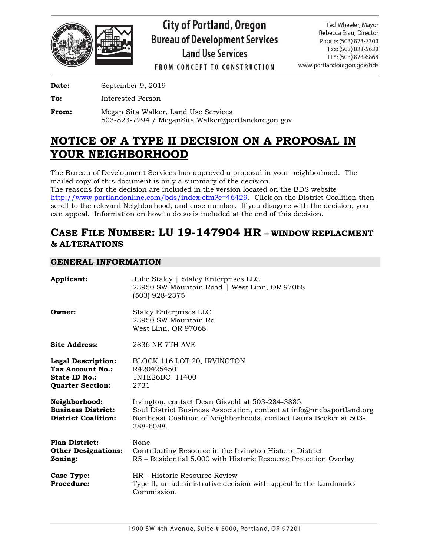

# **City of Portland, Oregon Bureau of Development Services Land Use Services**

Ted Wheeler, Mavor Rebecca Esau, Director Phone: (503) 823-7300 Fax: (503) 823-5630 TTY: (503) 823-6868 www.portlandoregon.gov/bds

**FROM CONCEPT TO CONSTRUCTION** 

**Date:** September 9, 2019

**To:** Interested Person

**From:** Megan Sita Walker, Land Use Services 503-823-7294 / MeganSita.Walker@portlandoregon.gov

## **NOTICE OF A TYPE II DECISION ON A PROPOSAL IN YOUR NEIGHBORHOOD**

The Bureau of Development Services has approved a proposal in your neighborhood. The mailed copy of this document is only a summary of the decision.

The reasons for the decision are included in the version located on the BDS website [http://www.portlandonline.com/bds/index.cfm?c=46429.](http://www.portlandonline.com/bds/index.cfm?c=46429) Click on the District Coalition then scroll to the relevant Neighborhood, and case number. If you disagree with the decision, you can appeal. Information on how to do so is included at the end of this decision.

## **CASE FILE NUMBER: LU 19-147904 HR – WINDOW REPLACMENT & ALTERATIONS**

## **GENERAL INFORMATION**

| Applicant:                                                                                | Julie Staley   Staley Enterprises LLC<br>23950 SW Mountain Road   West Linn, OR 97068<br>(503) 928-2375                                                                                                      |
|-------------------------------------------------------------------------------------------|--------------------------------------------------------------------------------------------------------------------------------------------------------------------------------------------------------------|
| Owner:                                                                                    | <b>Staley Enterprises LLC</b><br>23950 SW Mountain Rd<br>West Linn, OR 97068                                                                                                                                 |
| <b>Site Address:</b>                                                                      | 2836 NE 7TH AVE                                                                                                                                                                                              |
| <b>Legal Description:</b><br>Tax Account No.:<br>State ID No.:<br><b>Quarter Section:</b> | BLOCK 116 LOT 20, IRVINGTON<br>R420425450<br>1N1E26BC 11400<br>2731                                                                                                                                          |
| Neighborhood:<br><b>Business District:</b><br><b>District Coalition:</b>                  | Irvington, contact Dean Gisvold at 503-284-3885.<br>Soul District Business Association, contact at info@nnebaportland.org<br>Northeast Coalition of Neighborhoods, contact Laura Becker at 503-<br>388-6088. |
| <b>Plan District:</b><br><b>Other Designations:</b><br>Zoning:                            | None<br>Contributing Resource in the Irvington Historic District<br>R5 – Residential 5,000 with Historic Resource Protection Overlay                                                                         |
| <b>Case Type:</b><br><b>Procedure:</b>                                                    | HR – Historic Resource Review<br>Type II, an administrative decision with appeal to the Landmarks<br>Commission.                                                                                             |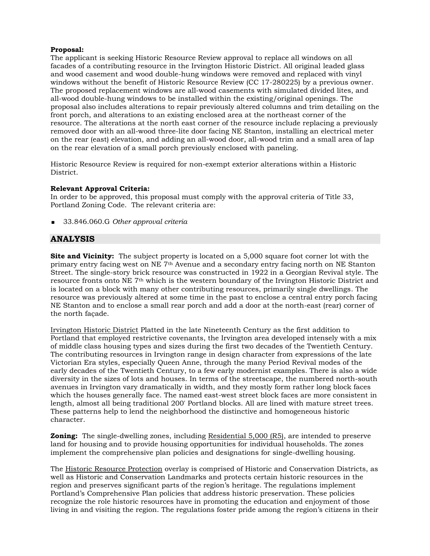#### **Proposal:**

The applicant is seeking Historic Resource Review approval to replace all windows on all facades of a contributing resource in the Irvington Historic District. All original leaded glass and wood casement and wood double-hung windows were removed and replaced with vinyl windows without the benefit of Historic Resource Review (CC 17-280225) by a previous owner. The proposed replacement windows are all-wood casements with simulated divided lites, and all-wood double-hung windows to be installed within the existing/original openings. The proposal also includes alterations to repair previously altered columns and trim detailing on the front porch, and alterations to an existing enclosed area at the northeast corner of the resource. The alterations at the north east corner of the resource include replacing a previously removed door with an all-wood three-lite door facing NE Stanton, installing an electrical meter on the rear (east) elevation, and adding an all-wood door, all-wood trim and a small area of lap on the rear elevation of a small porch previously enclosed with paneling.

Historic Resource Review is required for non-exempt exterior alterations within a Historic District.

#### **Relevant Approval Criteria:**

In order to be approved, this proposal must comply with the approval criteria of Title 33, Portland Zoning Code. The relevant criteria are:

33.846.060.G *Other approval criteria*

#### **ANALYSIS**

**Site and Vicinity:** The subject property is located on a 5,000 square foot corner lot with the primary entry facing west on NE 7th Avenue and a secondary entry facing north on NE Stanton Street. The single-story brick resource was constructed in 1922 in a Georgian Revival style. The resource fronts onto NE 7th which is the western boundary of the Irvington Historic District and is located on a block with many other contributing resources, primarily single dwellings. The resource was previously altered at some time in the past to enclose a central entry porch facing NE Stanton and to enclose a small rear porch and add a door at the north-east (rear) corner of the north façade.

Irvington Historic District Platted in the late Nineteenth Century as the first addition to Portland that employed restrictive covenants, the Irvington area developed intensely with a mix of middle class housing types and sizes during the first two decades of the Twentieth Century. The contributing resources in Irvington range in design character from expressions of the late Victorian Era styles, especially Queen Anne, through the many Period Revival modes of the early decades of the Twentieth Century, to a few early modernist examples. There is also a wide diversity in the sizes of lots and houses. In terms of the streetscape, the numbered north-south avenues in Irvington vary dramatically in width, and they mostly form rather long block faces which the houses generally face. The named east-west street block faces are more consistent in length, almost all being traditional 200' Portland blocks. All are lined with mature street trees. These patterns help to lend the neighborhood the distinctive and homogeneous historic character.

**Zoning:** The single-dwelling zones, including Residential 5,000 (R5), are intended to preserve land for housing and to provide housing opportunities for individual households. The zones implement the comprehensive plan policies and designations for single-dwelling housing.

The Historic Resource Protection overlay is comprised of Historic and Conservation Districts, as well as Historic and Conservation Landmarks and protects certain historic resources in the region and preserves significant parts of the region's heritage. The regulations implement Portland's Comprehensive Plan policies that address historic preservation. These policies recognize the role historic resources have in promoting the education and enjoyment of those living in and visiting the region. The regulations foster pride among the region's citizens in their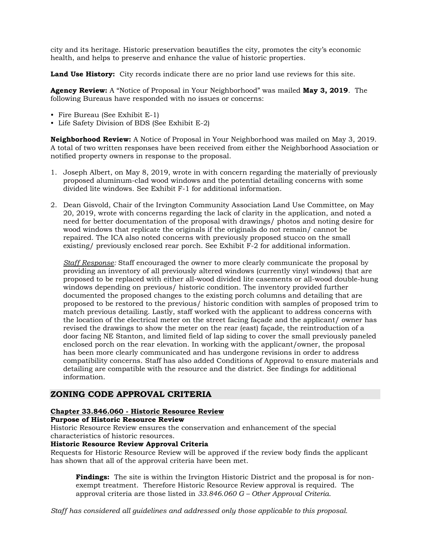city and its heritage. Historic preservation beautifies the city, promotes the city's economic health, and helps to preserve and enhance the value of historic properties.

**Land Use History:** City records indicate there are no prior land use reviews for this site.

**Agency Review:** A "Notice of Proposal in Your Neighborhood" was mailed **May 3, 2019**. The following Bureaus have responded with no issues or concerns:

- Fire Bureau (See Exhibit E-1)
- Life Safety Division of BDS (See Exhibit E-2)

**Neighborhood Review:** A Notice of Proposal in Your Neighborhood was mailed on May 3, 2019. A total of two written responses have been received from either the Neighborhood Association or notified property owners in response to the proposal.

- 1. Joseph Albert, on May 8, 2019, wrote in with concern regarding the materially of previously proposed aluminum-clad wood windows and the potential detailing concerns with some divided lite windows. See Exhibit F-1 for additional information.
- 2. Dean Gisvold, Chair of the Irvington Community Association Land Use Committee, on May 20, 2019, wrote with concerns regarding the lack of clarity in the application, and noted a need for better documentation of the proposal with drawings/ photos and noting desire for wood windows that replicate the originals if the originals do not remain/ cannot be repaired. The ICA also noted concerns with previously proposed stucco on the small existing/ previously enclosed rear porch. See Exhibit F-2 for additional information.

*Staff Response:* Staff encouraged the owner to more clearly communicate the proposal by providing an inventory of all previously altered windows (currently vinyl windows) that are proposed to be replaced with either all-wood divided lite casements or all-wood double-hung windows depending on previous/ historic condition. The inventory provided further documented the proposed changes to the existing porch columns and detailing that are proposed to be restored to the previous/ historic condition with samples of proposed trim to match previous detailing. Lastly, staff worked with the applicant to address concerns with the location of the electrical meter on the street facing façade and the applicant/ owner has revised the drawings to show the meter on the rear (east) façade, the reintroduction of a door facing NE Stanton, and limited field of lap siding to cover the small previously paneled enclosed porch on the rear elevation. In working with the applicant/owner, the proposal has been more clearly communicated and has undergone revisions in order to address compatibility concerns. Staff has also added Conditions of Approval to ensure materials and detailing are compatible with the resource and the district. See findings for additional information.

### **ZONING CODE APPROVAL CRITERIA**

#### **Chapter 33.846.060 - Historic Resource Review**

#### **Purpose of Historic Resource Review**

Historic Resource Review ensures the conservation and enhancement of the special characteristics of historic resources.

#### **Historic Resource Review Approval Criteria**

Requests for Historic Resource Review will be approved if the review body finds the applicant has shown that all of the approval criteria have been met.

**Findings:** The site is within the Irvington Historic District and the proposal is for nonexempt treatment. Therefore Historic Resource Review approval is required. The approval criteria are those listed in *33.846.060 G – Other Approval Criteria*.

*Staff has considered all guidelines and addressed only those applicable to this proposal.*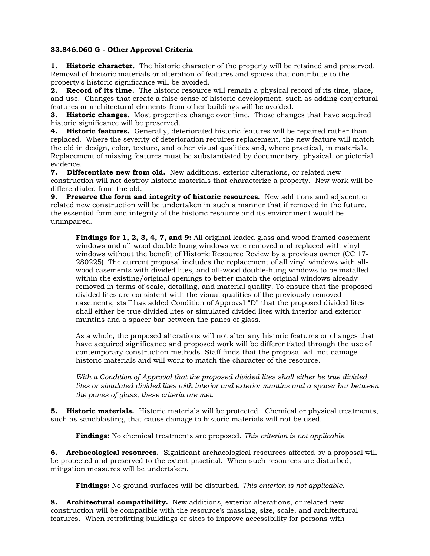#### **33.846.060 G - Other Approval Criteria**

**1. Historic character.** The historic character of the property will be retained and preserved. Removal of historic materials or alteration of features and spaces that contribute to the property's historic significance will be avoided.

**2. Record of its time.** The historic resource will remain a physical record of its time, place, and use. Changes that create a false sense of historic development, such as adding conjectural features or architectural elements from other buildings will be avoided.

**3. Historic changes.** Most properties change over time. Those changes that have acquired historic significance will be preserved.

**4. Historic features.** Generally, deteriorated historic features will be repaired rather than replaced. Where the severity of deterioration requires replacement, the new feature will match the old in design, color, texture, and other visual qualities and, where practical, in materials. Replacement of missing features must be substantiated by documentary, physical, or pictorial evidence.

**7. Differentiate new from old.** New additions, exterior alterations, or related new construction will not destroy historic materials that characterize a property. New work will be differentiated from the old.

**9. Preserve the form and integrity of historic resources.** New additions and adjacent or related new construction will be undertaken in such a manner that if removed in the future, the essential form and integrity of the historic resource and its environment would be unimpaired.

Findings for 1, 2, 3, 4, 7, and 9: All original leaded glass and wood framed casement windows and all wood double-hung windows were removed and replaced with vinyl windows without the benefit of Historic Resource Review by a previous owner (CC 17- 280225). The current proposal includes the replacement of all vinyl windows with allwood casements with divided lites, and all-wood double-hung windows to be installed within the existing/original openings to better match the original windows already removed in terms of scale, detailing, and material quality. To ensure that the proposed divided lites are consistent with the visual qualities of the previously removed casements, staff has added Condition of Approval "D" that the proposed divided lites shall either be true divided lites or simulated divided lites with interior and exterior muntins and a spacer bar between the panes of glass.

As a whole, the proposed alterations will not alter any historic features or changes that have acquired significance and proposed work will be differentiated through the use of contemporary construction methods. Staff finds that the proposal will not damage historic materials and will work to match the character of the resource.

*With a Condition of Approval that the proposed divided lites shall either be true divided lites or simulated divided lites with interior and exterior muntins and a spacer bar between the panes of glass, these criteria are met.*

**5. Historic materials.** Historic materials will be protected. Chemical or physical treatments, such as sandblasting, that cause damage to historic materials will not be used.

**Findings:** No chemical treatments are proposed. *This criterion is not applicable.*

**6. Archaeological resources.** Significant archaeological resources affected by a proposal will be protected and preserved to the extent practical. When such resources are disturbed, mitigation measures will be undertaken.

**Findings:** No ground surfaces will be disturbed. *This criterion is not applicable.*

**8. Architectural compatibility.** New additions, exterior alterations, or related new construction will be compatible with the resource's massing, size, scale, and architectural features. When retrofitting buildings or sites to improve accessibility for persons with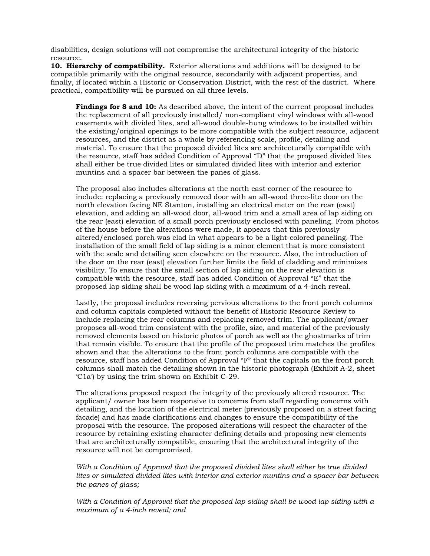disabilities, design solutions will not compromise the architectural integrity of the historic resource.

**10. Hierarchy of compatibility.** Exterior alterations and additions will be designed to be compatible primarily with the original resource, secondarily with adjacent properties, and finally, if located within a Historic or Conservation District, with the rest of the district. Where practical, compatibility will be pursued on all three levels.

**Findings for 8 and 10:** As described above, the intent of the current proposal includes the replacement of all previously installed/ non-compliant vinyl windows with all-wood casements with divided lites, and all-wood double-hung windows to be installed within the existing/original openings to be more compatible with the subject resource, adjacent resources, and the district as a whole by referencing scale, profile, detailing and material. To ensure that the proposed divided lites are architecturally compatible with the resource, staff has added Condition of Approval "D" that the proposed divided lites shall either be true divided lites or simulated divided lites with interior and exterior muntins and a spacer bar between the panes of glass.

The proposal also includes alterations at the north east corner of the resource to include: replacing a previously removed door with an all-wood three-lite door on the north elevation facing NE Stanton, installing an electrical meter on the rear (east) elevation, and adding an all-wood door, all-wood trim and a small area of lap siding on the rear (east) elevation of a small porch previously enclosed with paneling. From photos of the house before the alterations were made, it appears that this previously altered/enclosed porch was clad in what appears to be a light-colored paneling. The installation of the small field of lap siding is a minor element that is more consistent with the scale and detailing seen elsewhere on the resource. Also, the introduction of the door on the rear (east) elevation further limits the field of cladding and minimizes visibility. To ensure that the small section of lap siding on the rear elevation is compatible with the resource, staff has added Condition of Approval "E" that the proposed lap siding shall be wood lap siding with a maximum of a 4-inch reveal.

Lastly, the proposal includes reversing pervious alterations to the front porch columns and column capitals completed without the benefit of Historic Resource Review to include replacing the rear columns and replacing removed trim. The applicant/owner proposes all-wood trim consistent with the profile, size, and material of the previously removed elements based on historic photos of porch as well as the ghostmarks of trim that remain visible. To ensure that the profile of the proposed trim matches the profiles shown and that the alterations to the front porch columns are compatible with the resource, staff has added Condition of Approval "F" that the capitals on the front porch columns shall match the detailing shown in the historic photograph (Exhibit A-2, sheet 'C1a') by using the trim shown on Exhibit C-29.

The alterations proposed respect the integrity of the previously altered resource. The applicant/ owner has been responsive to concerns from staff regarding concerns with detailing, and the location of the electrical meter (previously proposed on a street facing facade) and has made clarifications and changes to ensure the compatibility of the proposal with the resource. The proposed alterations will respect the character of the resource by retaining existing character defining details and proposing new elements that are architecturally compatible, ensuring that the architectural integrity of the resource will not be compromised.

*With a Condition of Approval that the proposed divided lites shall either be true divided lites or simulated divided lites with interior and exterior muntins and a spacer bar between the panes of glass;*

*With a Condition of Approval that the proposed lap siding shall be wood lap siding with a maximum of a 4-inch reveal; and*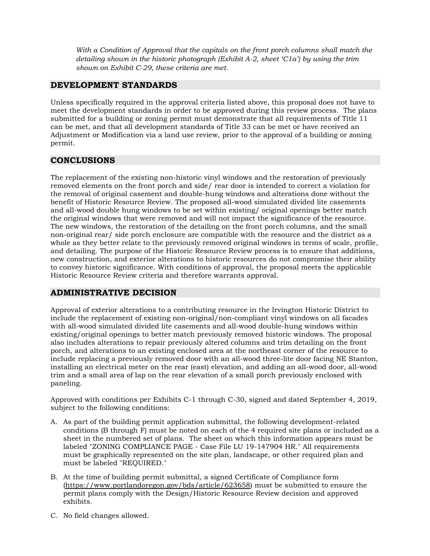*With a Condition of Approval that the capitals on the front porch columns shall match the detailing shown in the historic photograph (Exhibit A-2, sheet 'C1a') by using the trim shown on Exhibit C-29, these criteria are met.*

## **DEVELOPMENT STANDARDS**

Unless specifically required in the approval criteria listed above, this proposal does not have to meet the development standards in order to be approved during this review process. The plans submitted for a building or zoning permit must demonstrate that all requirements of Title 11 can be met, and that all development standards of Title 33 can be met or have received an Adjustment or Modification via a land use review, prior to the approval of a building or zoning permit.

## **CONCLUSIONS**

The replacement of the existing non-historic vinyl windows and the restoration of previously removed elements on the front porch and side/ rear door is intended to correct a violation for the removal of original casement and double-hung windows and alterations done without the benefit of Historic Resource Review. The proposed all-wood simulated divided lite casements and all-wood double hung windows to be set within existing/ original openings better match the original windows that were removed and will not impact the significance of the resource. The new windows, the restoration of the detailing on the front porch columns, and the small non-original rear/ side porch enclosure are compatible with the resource and the district as a whole as they better relate to the previously removed original windows in terms of scale, profile, and detailing. The purpose of the Historic Resource Review process is to ensure that additions, new construction, and exterior alterations to historic resources do not compromise their ability to convey historic significance. With conditions of approval, the proposal meets the applicable Historic Resource Review criteria and therefore warrants approval.

### **ADMINISTRATIVE DECISION**

Approval of exterior alterations to a contributing resource in the Irvington Historic District to include the replacement of existing non-original/non-compliant vinyl windows on all facades with all-wood simulated divided lite casements and all-wood double-hung windows within existing/original openings to better match previously removed historic windows. The proposal also includes alterations to repair previously altered columns and trim detailing on the front porch, and alterations to an existing enclosed area at the northeast corner of the resource to include replacing a previously removed door with an all-wood three-lite door facing NE Stanton, installing an electrical meter on the rear (east) elevation, and adding an all-wood door, all-wood trim and a small area of lap on the rear elevation of a small porch previously enclosed with paneling.

Approved with conditions per Exhibits C-1 through C-30, signed and dated September 4, 2019, subject to the following conditions:

- A. As part of the building permit application submittal, the following development-related conditions (B through F) must be noted on each of the 4 required site plans or included as a sheet in the numbered set of plans. The sheet on which this information appears must be labeled "ZONING COMPLIANCE PAGE - Case File LU 19-147904 HR." All requirements must be graphically represented on the site plan, landscape, or other required plan and must be labeled "REQUIRED."
- B. At the time of building permit submittal, a signed Certificate of Compliance form [\(https://www.portlandoregon.gov/bds/article/623658\)](https://www.portlandoregon.gov/bds/article/623658) must be submitted to ensure the permit plans comply with the Design/Historic Resource Review decision and approved exhibits.
- C. No field changes allowed.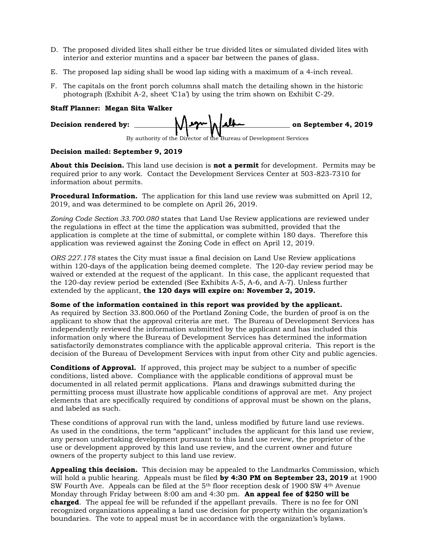- D. The proposed divided lites shall either be true divided lites or simulated divided lites with interior and exterior muntins and a spacer bar between the panes of glass.
- E. The proposed lap siding shall be wood lap siding with a maximum of a 4-inch reveal.
- F. The capitals on the front porch columns shall match the detailing shown in the historic photograph (Exhibit A-2, sheet 'C1a') by using the trim shown on Exhibit C-29.

#### **Staff Planner: Megan Sita Walker**

| Decision rendered by: | $M$ egn $\Lambda$ |                                                                    | on September 4, 2019 |
|-----------------------|-------------------|--------------------------------------------------------------------|----------------------|
|                       |                   | By authority of the Director of the Bureau of Development Services |                      |

#### **Decision mailed: September 9, 2019**

**About this Decision.** This land use decision is **not a permit** for development. Permits may be required prior to any work. Contact the Development Services Center at 503-823-7310 for information about permits.

**Procedural Information.** The application for this land use review was submitted on April 12, 2019, and was determined to be complete on April 26, 2019.

*Zoning Code Section 33.700.080* states that Land Use Review applications are reviewed under the regulations in effect at the time the application was submitted, provided that the application is complete at the time of submittal, or complete within 180 days. Therefore this application was reviewed against the Zoning Code in effect on April 12, 2019.

*ORS 227.178* states the City must issue a final decision on Land Use Review applications within 120-days of the application being deemed complete. The 120-day review period may be waived or extended at the request of the applicant. In this case, the applicant requested that the 120-day review period be extended (See Exhibits A-5, A-6, and A-7). Unless further extended by the applicant, **the 120 days will expire on: November 2, 2019.**

#### **Some of the information contained in this report was provided by the applicant.**

As required by Section 33.800.060 of the Portland Zoning Code, the burden of proof is on the applicant to show that the approval criteria are met. The Bureau of Development Services has independently reviewed the information submitted by the applicant and has included this information only where the Bureau of Development Services has determined the information satisfactorily demonstrates compliance with the applicable approval criteria. This report is the decision of the Bureau of Development Services with input from other City and public agencies.

**Conditions of Approval.** If approved, this project may be subject to a number of specific conditions, listed above. Compliance with the applicable conditions of approval must be documented in all related permit applications. Plans and drawings submitted during the permitting process must illustrate how applicable conditions of approval are met. Any project elements that are specifically required by conditions of approval must be shown on the plans, and labeled as such.

These conditions of approval run with the land, unless modified by future land use reviews. As used in the conditions, the term "applicant" includes the applicant for this land use review, any person undertaking development pursuant to this land use review, the proprietor of the use or development approved by this land use review, and the current owner and future owners of the property subject to this land use review.

**Appealing this decision.** This decision may be appealed to the Landmarks Commission, which will hold a public hearing. Appeals must be filed **by 4:30 PM on September 23, 2019** at 1900 SW Fourth Ave. Appeals can be filed at the 5th floor reception desk of 1900 SW 4th Avenue Monday through Friday between 8:00 am and 4:30 pm. **An appeal fee of \$250 will be charged**. The appeal fee will be refunded if the appellant prevails. There is no fee for ONI recognized organizations appealing a land use decision for property within the organization's boundaries. The vote to appeal must be in accordance with the organization's bylaws.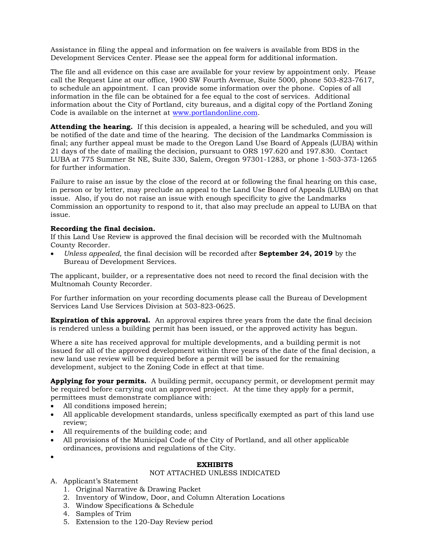Assistance in filing the appeal and information on fee waivers is available from BDS in the Development Services Center. Please see the appeal form for additional information.

The file and all evidence on this case are available for your review by appointment only. Please call the Request Line at our office, 1900 SW Fourth Avenue, Suite 5000, phone 503-823-7617, to schedule an appointment. I can provide some information over the phone. Copies of all information in the file can be obtained for a fee equal to the cost of services. Additional information about the City of Portland, city bureaus, and a digital copy of the Portland Zoning Code is available on the internet at [www.portlandonline.com.](http://www.ci.portland.or.us/)

**Attending the hearing.** If this decision is appealed, a hearing will be scheduled, and you will be notified of the date and time of the hearing. The decision of the Landmarks Commission is final; any further appeal must be made to the Oregon Land Use Board of Appeals (LUBA) within 21 days of the date of mailing the decision, pursuant to ORS 197.620 and 197.830. Contact LUBA at 775 Summer St NE, Suite 330, Salem, Oregon 97301-1283, or phone 1-503-373-1265 for further information.

Failure to raise an issue by the close of the record at or following the final hearing on this case, in person or by letter, may preclude an appeal to the Land Use Board of Appeals (LUBA) on that issue. Also, if you do not raise an issue with enough specificity to give the Landmarks Commission an opportunity to respond to it, that also may preclude an appeal to LUBA on that issue.

#### **Recording the final decision.**

If this Land Use Review is approved the final decision will be recorded with the Multnomah County Recorder.

• *Unless appealed,* the final decision will be recorded after **September 24, 2019** by the Bureau of Development Services.

The applicant, builder, or a representative does not need to record the final decision with the Multnomah County Recorder.

For further information on your recording documents please call the Bureau of Development Services Land Use Services Division at 503-823-0625.

**Expiration of this approval.** An approval expires three years from the date the final decision is rendered unless a building permit has been issued, or the approved activity has begun.

Where a site has received approval for multiple developments, and a building permit is not issued for all of the approved development within three years of the date of the final decision, a new land use review will be required before a permit will be issued for the remaining development, subject to the Zoning Code in effect at that time.

**Applying for your permits.** A building permit, occupancy permit, or development permit may be required before carrying out an approved project. At the time they apply for a permit, permittees must demonstrate compliance with:

- All conditions imposed herein;
- All applicable development standards, unless specifically exempted as part of this land use review;
- All requirements of the building code; and
- All provisions of the Municipal Code of the City of Portland, and all other applicable ordinances, provisions and regulations of the City.
- •

#### **EXHIBITS**

#### NOT ATTACHED UNLESS INDICATED

- A. Applicant's Statement
	- 1. Original Narrative & Drawing Packet
	- 2. Inventory of Window, Door, and Column Alteration Locations
	- 3. Window Specifications & Schedule
	- 4. Samples of Trim
	- 5. Extension to the 120-Day Review period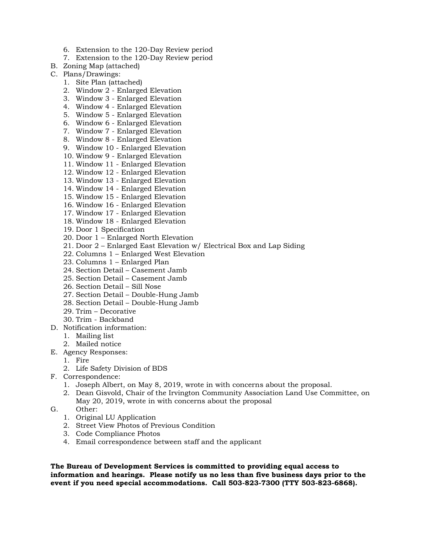- 6. Extension to the 120-Day Review period
- 7. Extension to the 120-Day Review period
- B. Zoning Map (attached)
- C. Plans/Drawings:
	- 1. Site Plan (attached)
	- 2. Window 2 Enlarged Elevation
	- 3. Window 3 Enlarged Elevation
	- 4. Window 4 Enlarged Elevation
	- 5. Window 5 Enlarged Elevation
	- 6. Window 6 Enlarged Elevation
	- 7. Window 7 Enlarged Elevation 8. Window 8 - Enlarged Elevation
	- 9. Window 10 Enlarged Elevation
	- 10. Window 9 Enlarged Elevation
	- 11. Window 11 Enlarged Elevation
	- 12. Window 12 Enlarged Elevation
	- 13. Window 13 Enlarged Elevation
	- 14. Window 14 Enlarged Elevation
	- 15. Window 15 Enlarged Elevation
	- 16. Window 16 Enlarged Elevation
	- 17. Window 17 Enlarged Elevation
	- 18. Window 18 Enlarged Elevation
	- 19. Door 1 Specification
	- 20. Door 1 Enlarged North Elevation
	- 21. Door 2 Enlarged East Elevation w/ Electrical Box and Lap Siding
	- 22. Columns 1 Enlarged West Elevation
	- 23. Columns 1 Enlarged Plan
	- 24. Section Detail Casement Jamb
	- 25. Section Detail Casement Jamb
	- 26. Section Detail Sill Nose
	- 27. Section Detail Double-Hung Jamb
	- 28. Section Detail Double-Hung Jamb
	- 29. Trim Decorative
	- 30. Trim Backband
- D. Notification information:
	- 1. Mailing list
	- 2. Mailed notice
- E. Agency Responses:
	- 1. Fire
	- 2. Life Safety Division of BDS
- F. Correspondence:
	- 1. Joseph Albert, on May 8, 2019, wrote in with concerns about the proposal.
	- 2. Dean Gisvold, Chair of the Irvington Community Association Land Use Committee, on May 20, 2019, wrote in with concerns about the proposal
- G. Other:
	- 1. Original LU Application
	- 2. Street View Photos of Previous Condition
	- 3. Code Compliance Photos
	- 4. Email correspondence between staff and the applicant

**The Bureau of Development Services is committed to providing equal access to information and hearings. Please notify us no less than five business days prior to the event if you need special accommodations. Call 503-823-7300 (TTY 503-823-6868).**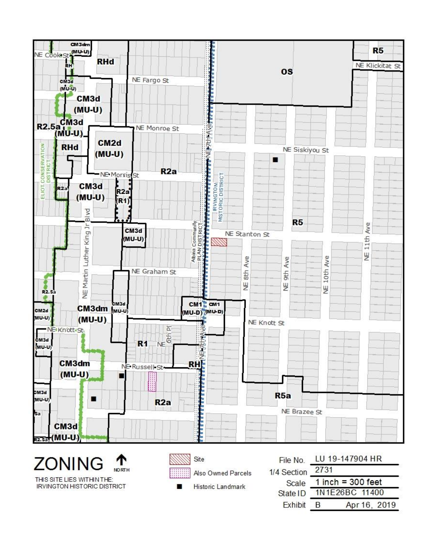

THIS SITE LIES WITHIN THE: **IRVINGTON HISTORIC DISTRICT** 

**NORTH** 

Also Owned Parcels

Historic Landmark

| File No.    | LU 19-147904 HR     |  |  |  |
|-------------|---------------------|--|--|--|
| 1/4 Section | 2731                |  |  |  |
| Scale       | $1$ inch = 300 feet |  |  |  |
| State ID    | 1N1E26BC 11400      |  |  |  |
| Exhibit     | Apr 16, 2019<br>R   |  |  |  |